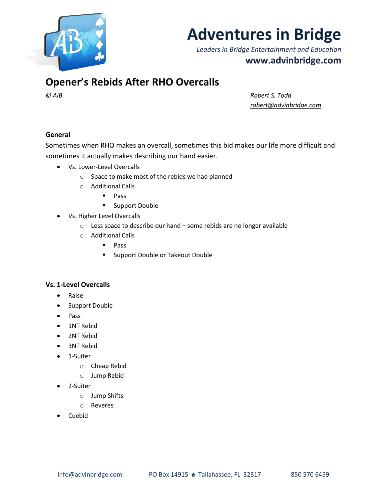

# **Adventures in Bridge**

*Leaders in Bridge Entertainment and Education* **www.advinbridge.com**

# **Opener's Rebids After RHO Overcalls**

*© AiB Robert S. Todd robert@advinbridge.com*

## **General**

Sometimes when RHO makes an overcall, sometimes this bid makes our life more difficult and sometimes it actually makes describing our hand easier.

- Vs. Lower-Level Overcalls
	- o Space to make most of the rebids we had planned
	- o Additional Calls
		- § Pass
		- Support Double
- Vs. Higher Level Overcalls
	- o Less space to describe our hand some rebids are no longer available
	- o Additional Calls
		- § Pass
		- Support Double or Takeout Double

## **Vs. 1-Level Overcalls**

- Raise
- Support Double
- Pass
- 1NT Rebid
- 2NT Rebid
- 3NT Rebid
- 1-Suiter
	- o Cheap Rebid
	- o Jump Rebid
- 2-Suiter
	- o Jump Shifts
	- o Reveres
- Cuebid